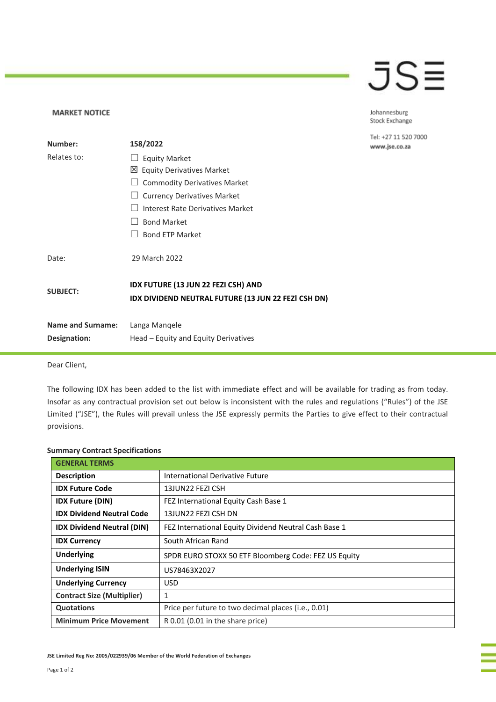## JSE

Johannesburg Stock Exchange

Tel: +27 11 520 7000 www.jse.co.za

| Number:                                  | 158/2022                                                                                   |
|------------------------------------------|--------------------------------------------------------------------------------------------|
| Relates to:                              | <b>Equity Market</b>                                                                       |
|                                          | $\boxtimes$ Equity Derivatives Market                                                      |
|                                          | <b>Commodity Derivatives Market</b>                                                        |
|                                          | <b>Currency Derivatives Market</b>                                                         |
|                                          | Interest Rate Derivatives Market                                                           |
|                                          | <b>Bond Market</b>                                                                         |
|                                          | <b>Bond ETP Market</b>                                                                     |
| Date:                                    | 29 March 2022                                                                              |
| <b>SUBJECT:</b>                          | IDX FUTURE (13 JUN 22 FEZI CSH) AND<br>IDX DIVIDEND NEUTRAL FUTURE (13 JUN 22 FEZI CSH DN) |
| <b>Name and Surname:</b><br>Designation: | Langa Mangele<br>Head – Equity and Equity Derivatives                                      |

Dear Client,

**MARKET NOTICE** 

The following IDX has been added to the list with immediate effect and will be available for trading as from today. Insofar as any contractual provision set out below is inconsistent with the rules and regulations ("Rules") of the JSE Limited ("JSE"), the Rules will prevail unless the JSE expressly permits the Parties to give effect to their contractual provisions.

## **Summary Contract Specifications**

| <b>GENERAL TERMS</b>              |                                                       |  |
|-----------------------------------|-------------------------------------------------------|--|
| <b>Description</b>                | International Derivative Future                       |  |
| <b>IDX Future Code</b>            | 13JUN22 FEZI CSH                                      |  |
| <b>IDX Future (DIN)</b>           | FEZ International Equity Cash Base 1                  |  |
| <b>IDX Dividend Neutral Code</b>  | 13JUN22 FEZI CSH DN                                   |  |
| <b>IDX Dividend Neutral (DIN)</b> | FEZ International Equity Dividend Neutral Cash Base 1 |  |
| <b>IDX Currency</b>               | South African Rand                                    |  |
| <b>Underlying</b>                 | SPDR EURO STOXX 50 ETF Bloomberg Code: FEZ US Equity  |  |
| <b>Underlying ISIN</b>            | US78463X2027                                          |  |
| <b>Underlying Currency</b>        | USD.                                                  |  |
| <b>Contract Size (Multiplier)</b> | $\mathbf{1}$                                          |  |
| <b>Quotations</b>                 | Price per future to two decimal places (i.e., 0.01)   |  |
| <b>Minimum Price Movement</b>     | R 0.01 (0.01 in the share price)                      |  |